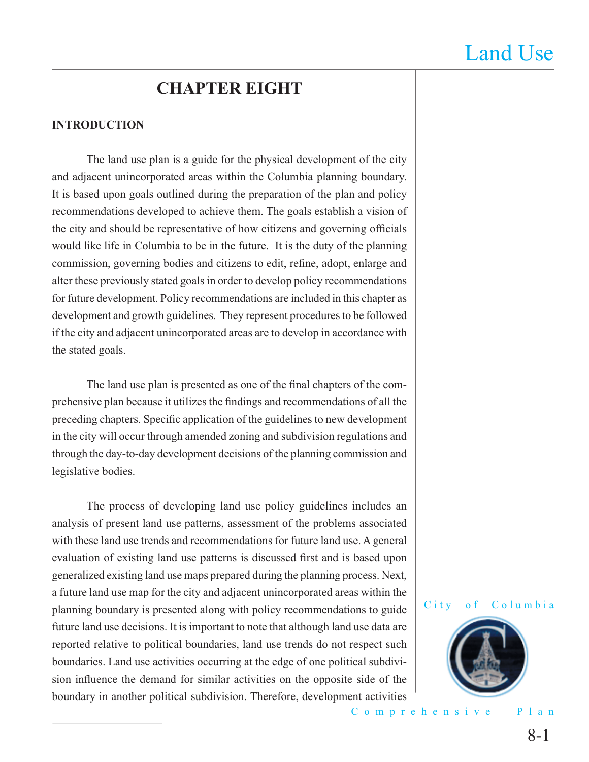# **CHAPTER EIGHT**

#### **INTRODUCTION**

 The land use plan is a guide for the physical development of the city and adjacent unincorporated areas within the Columbia planning boundary. It is based upon goals outlined during the preparation of the plan and policy recommendations developed to achieve them. The goals establish a vision of the city and should be representative of how citizens and governing officials would like life in Columbia to be in the future. It is the duty of the planning commission, governing bodies and citizens to edit, refine, adopt, enlarge and alter these previously stated goals in order to develop policy recommendations for future development. Policy recommendations are included in this chapter as development and growth guidelines. They represent procedures to be followed if the city and adjacent unincorporated areas are to develop in accordance with the stated goals.

The land use plan is presented as one of the final chapters of the comprehensive plan because it utilizes the findings and recommendations of all the preceding chapters. Specific application of the guidelines to new development in the city will occur through amended zoning and subdivision regulations and through the day-to-day development decisions of the planning commission and legislative bodies.

 The process of developing land use policy guidelines includes an analysis of present land use patterns, assessment of the problems associated with these land use trends and recommendations for future land use. A general evaluation of existing land use patterns is discussed first and is based upon generalized existing land use maps prepared during the planning process. Next, a future land use map for the city and adjacent unincorporated areas within the planning boundary is presented along with policy recommendations to guide future land use decisions. It is important to note that although land use data are reported relative to political boundaries, land use trends do not respect such boundaries. Land use activities occurring at the edge of one political subdivision influence the demand for similar activities on the opposite side of the boundary in another political subdivision. Therefore, development activities

City of Columbia

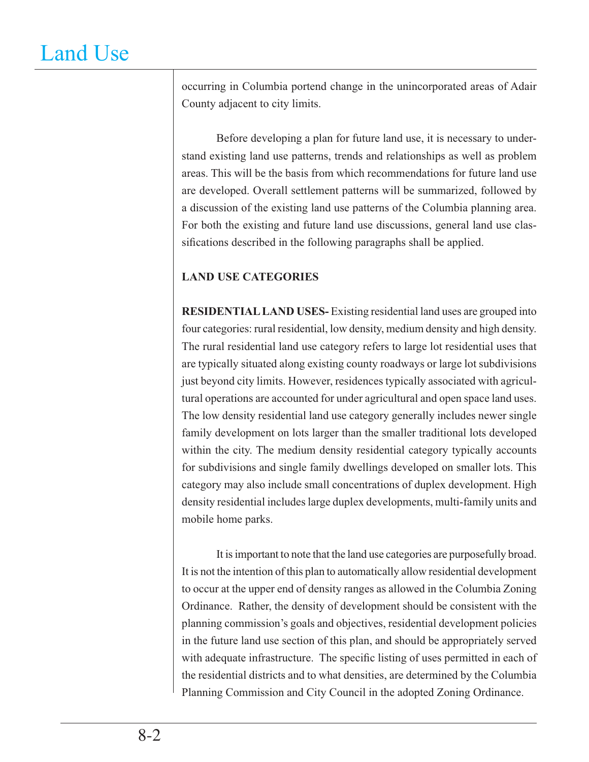occurring in Columbia portend change in the unincorporated areas of Adair County adjacent to city limits.

 Before developing a plan for future land use, it is necessary to understand existing land use patterns, trends and relationships as well as problem areas. This will be the basis from which recommendations for future land use are developed. Overall settlement patterns will be summarized, followed by a discussion of the existing land use patterns of the Columbia planning area. For both the existing and future land use discussions, general land use classifications described in the following paragraphs shall be applied.

### **LAND USE CATEGORIES**

**RESIDENTIAL LAND USES-** Existing residential land uses are grouped into four categories: rural residential, low density, medium density and high density. The rural residential land use category refers to large lot residential uses that are typically situated along existing county roadways or large lot subdivisions just beyond city limits. However, residences typically associated with agricultural operations are accounted for under agricultural and open space land uses. The low density residential land use category generally includes newer single family development on lots larger than the smaller traditional lots developed within the city. The medium density residential category typically accounts for subdivisions and single family dwellings developed on smaller lots. This category may also include small concentrations of duplex development. High density residential includes large duplex developments, multi-family units and mobile home parks.

It is important to note that the land use categories are purposefully broad. It is not the intention of this plan to automatically allow residential development to occur at the upper end of density ranges as allowed in the Columbia Zoning Ordinance. Rather, the density of development should be consistent with the planning commission's goals and objectives, residential development policies in the future land use section of this plan, and should be appropriately served with adequate infrastructure. The specific listing of uses permitted in each of the residential districts and to what densities, are determined by the Columbia Planning Commission and City Council in the adopted Zoning Ordinance.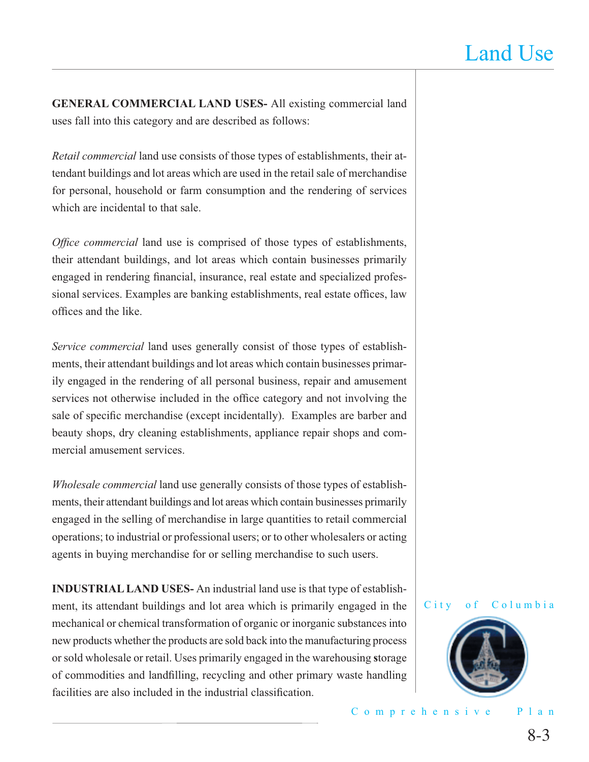**GENERAL COMMERCIAL LAND USES-** All existing commercial land uses fall into this category and are described as follows:

*Retail commercial* land use consists of those types of establishments, their attendant buildings and lot areas which are used in the retail sale of merchandise for personal, household or farm consumption and the rendering of services which are incidental to that sale.

*Office commercial* land use is comprised of those types of establishments, their attendant buildings, and lot areas which contain businesses primarily engaged in rendering financial, insurance, real estate and specialized professional services. Examples are banking establishments, real estate offices, law offices and the like.

*Service commercial* land uses generally consist of those types of establishments, their attendant buildings and lot areas which contain businesses primarily engaged in the rendering of all personal business, repair and amusement services not otherwise included in the office category and not involving the sale of specific merchandise (except incidentally). Examples are barber and beauty shops, dry cleaning establishments, appliance repair shops and commercial amusement services.

*Wholesale commercial* land use generally consists of those types of establishments, their attendant buildings and lot areas which contain businesses primarily engaged in the selling of merchandise in large quantities to retail commercial operations; to industrial or professional users; or to other wholesalers or acting agents in buying merchandise for or selling merchandise to such users.

**INDUSTRIAL LAND USES-** An industrial land use is that type of establishment, its attendant buildings and lot area which is primarily engaged in the mechanical or chemical transformation of organic or inorganic substances into new products whether the products are sold back into the manufacturing process or sold wholesale or retail. Uses primarily engaged in the warehousing **s**torage of commodities and landfilling, recycling and other primary waste handling facilities are also included in the industrial classification.



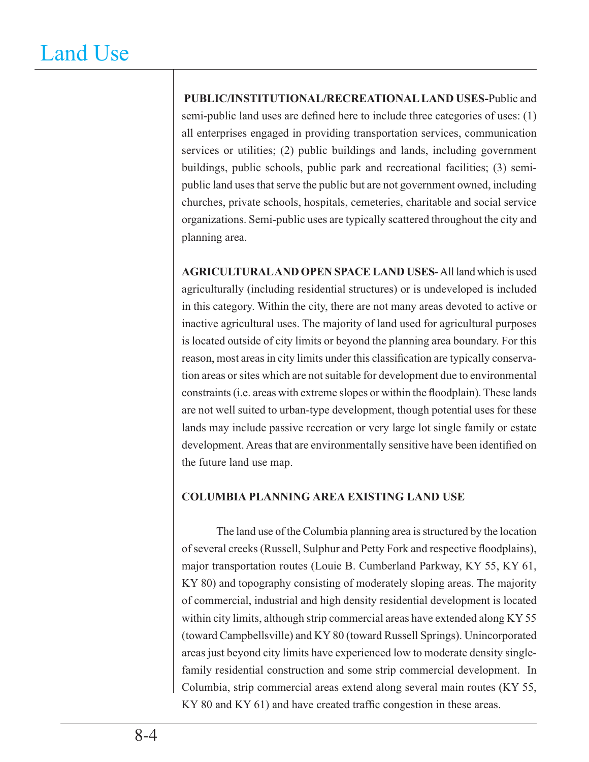**PUBLIC/INSTITUTIONAL/RECREATIONAL LAND USES-**Public and semi-public land uses are defined here to include three categories of uses:  $(1)$ all enterprises engaged in providing transportation services, communication services or utilities; (2) public buildings and lands, including government buildings, public schools, public park and recreational facilities; (3) semipublic land uses that serve the public but are not government owned, including churches, private schools, hospitals, cemeteries, charitable and social service organizations. Semi-public uses are typically scattered throughout the city and planning area.

**AGRICULTURAL AND OPEN SPACE LAND USES-** All land which is used agriculturally (including residential structures) or is undeveloped is included in this category. Within the city, there are not many areas devoted to active or inactive agricultural uses. The majority of land used for agricultural purposes is located outside of city limits or beyond the planning area boundary. For this reason, most areas in city limits under this classification are typically conservation areas or sites which are not suitable for development due to environmental constraints (i.e. areas with extreme slopes or within the floodplain). These lands are not well suited to urban-type development, though potential uses for these lands may include passive recreation or very large lot single family or estate development. Areas that are environmentally sensitive have been identified on the future land use map.

### **COLUMBIA PLANNING AREA EXISTING LAND USE**

The land use of the Columbia planning area is structured by the location of several creeks (Russell, Sulphur and Petty Fork and respective floodplains), major transportation routes (Louie B. Cumberland Parkway, KY 55, KY 61, KY 80) and topography consisting of moderately sloping areas. The majority of commercial, industrial and high density residential development is located within city limits, although strip commercial areas have extended along KY 55 (toward Campbellsville) and KY 80 (toward Russell Springs). Unincorporated areas just beyond city limits have experienced low to moderate density singlefamily residential construction and some strip commercial development. In Columbia, strip commercial areas extend along several main routes (KY 55, KY 80 and KY 61) and have created traffic congestion in these areas.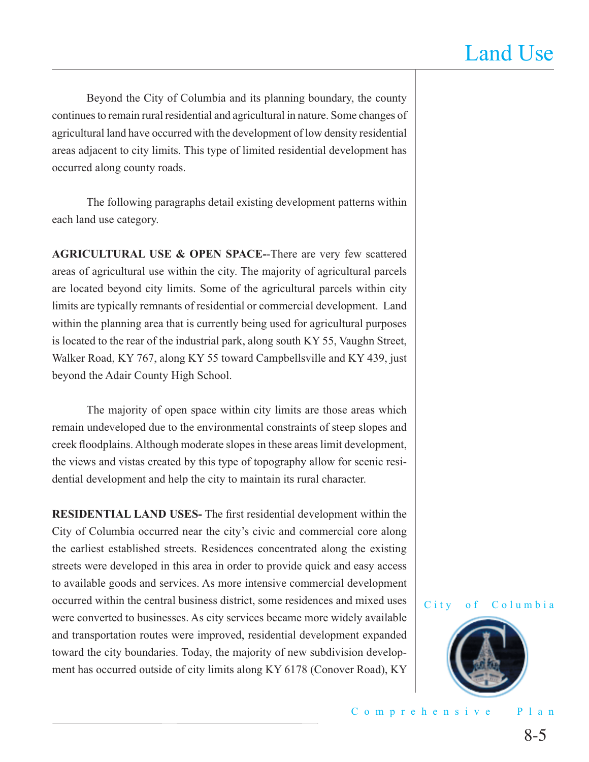Beyond the City of Columbia and its planning boundary, the county continues to remain rural residential and agricultural in nature. Some changes of agricultural land have occurred with the development of low density residential areas adjacent to city limits. This type of limited residential development has occurred along county roads.

 The following paragraphs detail existing development patterns within each land use category.

**AGRICULTURAL USE & OPEN SPACE-**-There are very few scattered areas of agricultural use within the city. The majority of agricultural parcels are located beyond city limits. Some of the agricultural parcels within city limits are typically remnants of residential or commercial development. Land within the planning area that is currently being used for agricultural purposes is located to the rear of the industrial park, along south KY 55, Vaughn Street, Walker Road, KY 767, along KY 55 toward Campbellsville and KY 439, just beyond the Adair County High School.

The majority of open space within city limits are those areas which remain undeveloped due to the environmental constraints of steep slopes and creek floodplains. Although moderate slopes in these areas limit development, the views and vistas created by this type of topography allow for scenic residential development and help the city to maintain its rural character.

**RESIDENTIAL LAND USES-** The first residential development within the City of Columbia occurred near the city's civic and commercial core along the earliest established streets. Residences concentrated along the existing streets were developed in this area in order to provide quick and easy access to available goods and services. As more intensive commercial development occurred within the central business district, some residences and mixed uses were converted to businesses. As city services became more widely available and transportation routes were improved, residential development expanded toward the city boundaries. Today, the majority of new subdivision development has occurred outside of city limits along KY 6178 (Conover Road), KY

City of Columbia

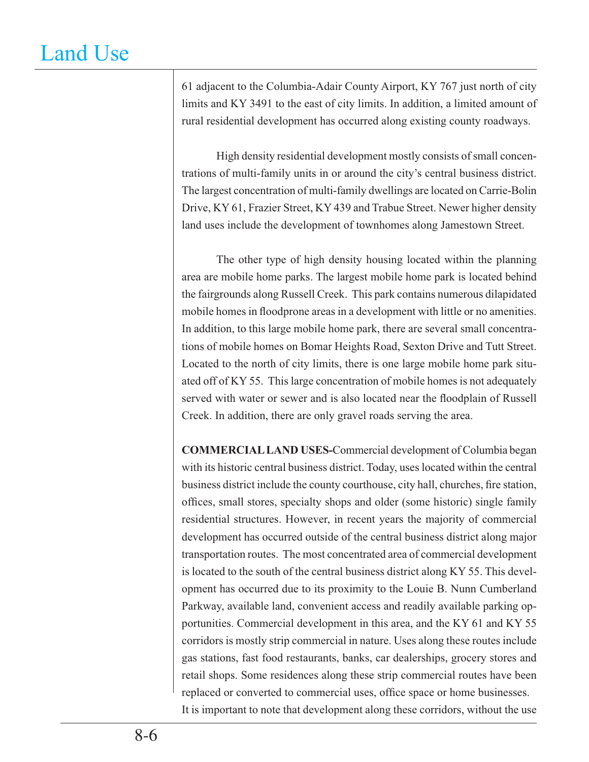61 adjacent to the Columbia-Adair County Airport, KY 767 just north of city limits and KY 3491 to the east of city limits. In addition, a limited amount of rural residential development has occurred along existing county roadways.

 High density residential development mostly consists of small concentrations of multi-family units in or around the city's central business district. The largest concentration of multi-family dwellings are located on Carrie-Bolin Drive, KY 61, Frazier Street, KY 439 and Trabue Street. Newer higher density land uses include the development of townhomes along Jamestown Street.

 The other type of high density housing located within the planning area are mobile home parks. The largest mobile home park is located behind the fairgrounds along Russell Creek. This park contains numerous dilapidated mobile homes in floodprone areas in a development with little or no amenities. In addition, to this large mobile home park, there are several small concentrations of mobile homes on Bomar Heights Road, Sexton Drive and Tutt Street. Located to the north of city limits, there is one large mobile home park situated off of KY 55. This large concentration of mobile homes is not adequately served with water or sewer and is also located near the floodplain of Russell Creek. In addition, there are only gravel roads serving the area.

**COMMERCIAL LAND USES-**Commercial development of Columbia began with its historic central business district. Today, uses located within the central business district include the county courthouse, city hall, churches, fire station, offices, small stores, specialty shops and older (some historic) single family residential structures. However, in recent years the majority of commercial development has occurred outside of the central business district along major transportation routes. The most concentrated area of commercial development is located to the south of the central business district along KY 55. This development has occurred due to its proximity to the Louie B. Nunn Cumberland Parkway, available land, convenient access and readily available parking opportunities. Commercial development in this area, and the KY 61 and KY 55 corridors is mostly strip commercial in nature. Uses along these routes include gas stations, fast food restaurants, banks, car dealerships, grocery stores and retail shops. Some residences along these strip commercial routes have been replaced or converted to commercial uses, office space or home businesses. It is important to note that development along these corridors, without the use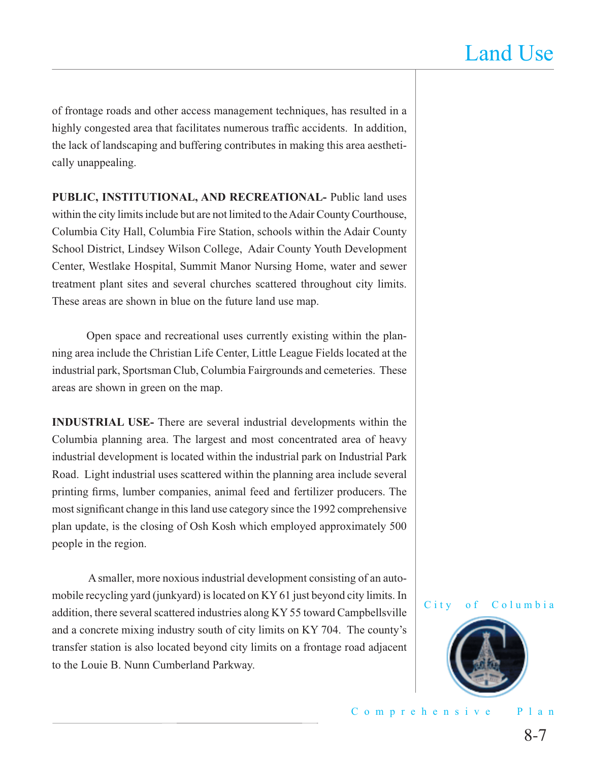of frontage roads and other access management techniques, has resulted in a highly congested area that facilitates numerous traffic accidents. In addition, the lack of landscaping and buffering contributes in making this area aesthetically unappealing.

**PUBLIC, INSTITUTIONAL, AND RECREATIONAL-** Public land uses within the city limits include but are not limited to the Adair County Courthouse, Columbia City Hall, Columbia Fire Station, schools within the Adair County School District, Lindsey Wilson College, Adair County Youth Development Center, Westlake Hospital, Summit Manor Nursing Home, water and sewer treatment plant sites and several churches scattered throughout city limits. These areas are shown in blue on the future land use map.

 Open space and recreational uses currently existing within the planning area include the Christian Life Center, Little League Fields located at the industrial park, Sportsman Club, Columbia Fairgrounds and cemeteries. These areas are shown in green on the map.

**INDUSTRIAL USE-** There are several industrial developments within the Columbia planning area. The largest and most concentrated area of heavy industrial development is located within the industrial park on Industrial Park Road. Light industrial uses scattered within the planning area include several printing firms, lumber companies, animal feed and fertilizer producers. The most significant change in this land use category since the 1992 comprehensive plan update, is the closing of Osh Kosh which employed approximately 500 people in the region.

 A smaller, more noxious industrial development consisting of an automobile recycling yard (junkyard) is located on KY 61 just beyond city limits. In addition, there several scattered industries along KY 55 toward Campbellsville and a concrete mixing industry south of city limits on KY 704. The county's transfer station is also located beyond city limits on a frontage road adjacent to the Louie B. Nunn Cumberland Parkway.

#### City of Columbia

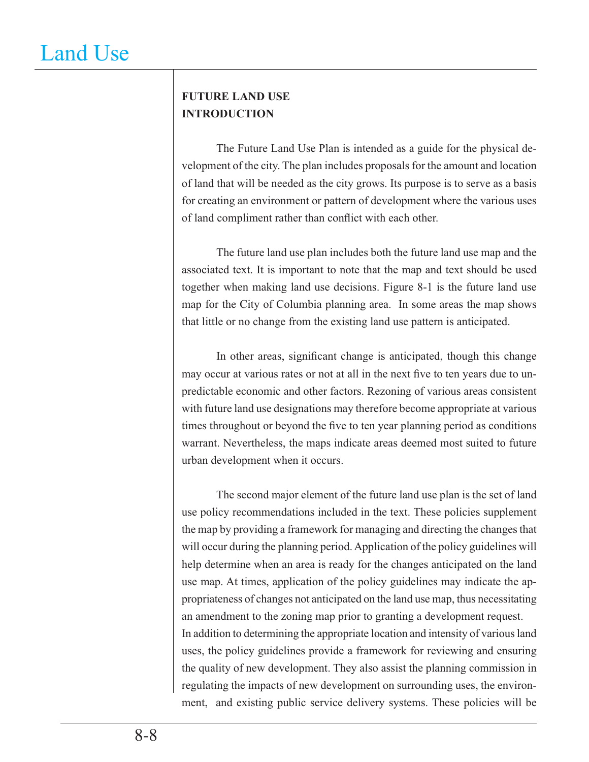# **FUTURE LAND USE INTRODUCTION**

 The Future Land Use Plan is intended as a guide for the physical development of the city. The plan includes proposals for the amount and location of land that will be needed as the city grows. Its purpose is to serve as a basis for creating an environment or pattern of development where the various uses of land compliment rather than conflict with each other.

 The future land use plan includes both the future land use map and the associated text. It is important to note that the map and text should be used together when making land use decisions. Figure 8-1 is the future land use map for the City of Columbia planning area. In some areas the map shows that little or no change from the existing land use pattern is anticipated.

In other areas, significant change is anticipated, though this change may occur at various rates or not at all in the next five to ten years due to unpredictable economic and other factors. Rezoning of various areas consistent with future land use designations may therefore become appropriate at various times throughout or beyond the five to ten year planning period as conditions warrant. Nevertheless, the maps indicate areas deemed most suited to future urban development when it occurs.

 The second major element of the future land use plan is the set of land use policy recommendations included in the text. These policies supplement the map by providing a framework for managing and directing the changes that will occur during the planning period. Application of the policy guidelines will help determine when an area is ready for the changes anticipated on the land use map. At times, application of the policy guidelines may indicate the appropriateness of changes not anticipated on the land use map, thus necessitating an amendment to the zoning map prior to granting a development request. In addition to determining the appropriate location and intensity of various land uses, the policy guidelines provide a framework for reviewing and ensuring the quality of new development. They also assist the planning commission in regulating the impacts of new development on surrounding uses, the environment, and existing public service delivery systems. These policies will be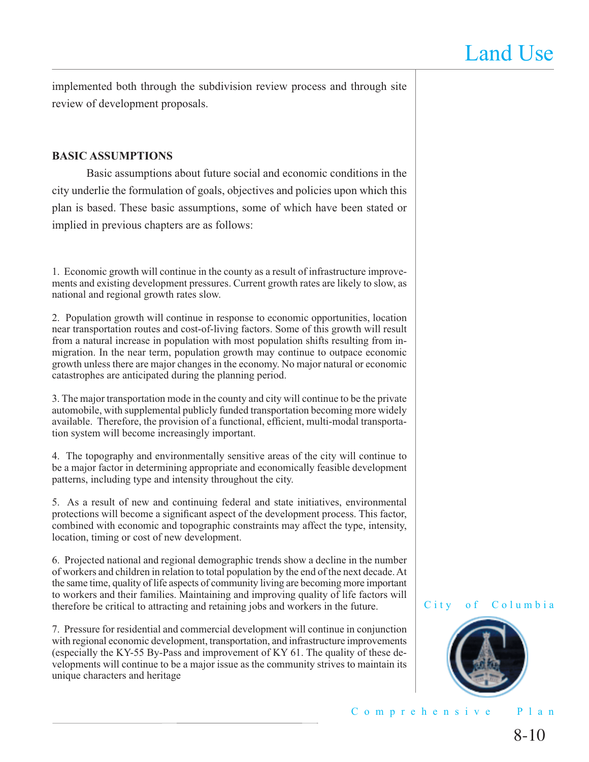implemented both through the subdivision review process and through site review of development proposals.

#### **BASIC ASSUMPTIONS**

 Basic assumptions about future social and economic conditions in the city underlie the formulation of goals, objectives and policies upon which this plan is based. These basic assumptions, some of which have been stated or implied in previous chapters are as follows:

1. Economic growth will continue in the county as a result of infrastructure improvements and existing development pressures. Current growth rates are likely to slow, as national and regional growth rates slow.

2. Population growth will continue in response to economic opportunities, location near transportation routes and cost-of-living factors. Some of this growth will result from a natural increase in population with most population shifts resulting from inmigration. In the near term, population growth may continue to outpace economic growth unless there are major changes in the economy. No major natural or economic catastrophes are anticipated during the planning period.

3. The major transportation mode in the county and city will continue to be the private automobile, with supplemental publicly funded transportation becoming more widely available. Therefore, the provision of a functional, efficient, multi-modal transportation system will become increasingly important.

4. The topography and environmentally sensitive areas of the city will continue to be a major factor in determining appropriate and economically feasible development patterns, including type and intensity throughout the city.

5. As a result of new and continuing federal and state initiatives, environmental protections will become a significant aspect of the development process. This factor, combined with economic and topographic constraints may affect the type, intensity, location, timing or cost of new development.

6. Projected national and regional demographic trends show a decline in the number of workers and children in relation to total population by the end of the next decade. At the same time, quality of life aspects of community living are becoming more important to workers and their families. Maintaining and improving quality of life factors will therefore be critical to attracting and retaining jobs and workers in the future.

7. Pressure for residential and commercial development will continue in conjunction with regional economic development, transportation, and infrastructure improvements (especially the KY-55 By-Pass and improvement of KY 61. The quality of these developments will continue to be a major issue as the community strives to maintain its unique characters and heritage

#### City of Columbia

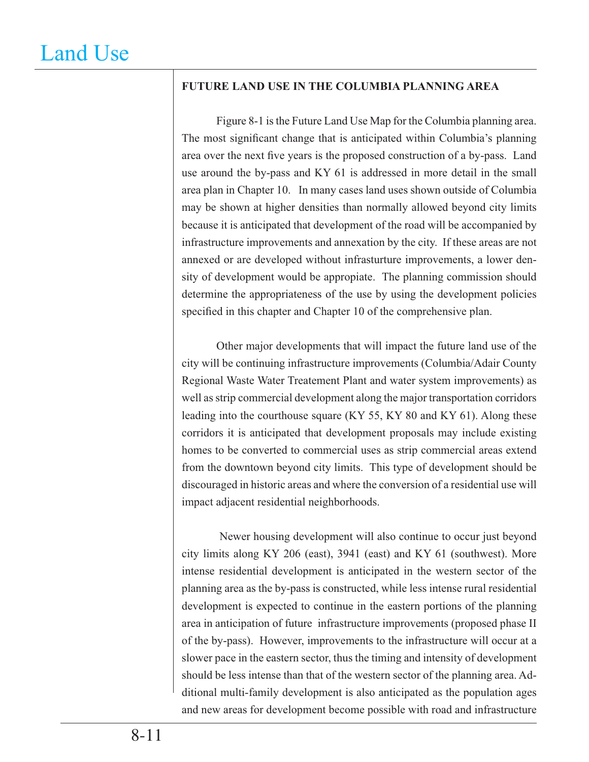### **FUTURE LAND USE IN THE COLUMBIA PLANNING AREA**

 Figure 8-1 is the Future Land Use Map for the Columbia planning area. The most significant change that is anticipated within Columbia's planning area over the next five years is the proposed construction of a by-pass. Land use around the by-pass and KY 61 is addressed in more detail in the small area plan in Chapter 10. In many cases land uses shown outside of Columbia may be shown at higher densities than normally allowed beyond city limits because it is anticipated that development of the road will be accompanied by infrastructure improvements and annexation by the city. If these areas are not annexed or are developed without infrasturture improvements, a lower density of development would be appropiate. The planning commission should determine the appropriateness of the use by using the development policies specified in this chapter and Chapter 10 of the comprehensive plan.

 Other major developments that will impact the future land use of the city will be continuing infrastructure improvements (Columbia/Adair County Regional Waste Water Treatement Plant and water system improvements) as well as strip commercial development along the major transportation corridors leading into the courthouse square (KY 55, KY 80 and KY 61). Along these corridors it is anticipated that development proposals may include existing homes to be converted to commercial uses as strip commercial areas extend from the downtown beyond city limits. This type of development should be discouraged in historic areas and where the conversion of a residential use will impact adjacent residential neighborhoods.

 Newer housing development will also continue to occur just beyond city limits along KY 206 (east), 3941 (east) and KY 61 (southwest). More intense residential development is anticipated in the western sector of the planning area as the by-pass is constructed, while less intense rural residential development is expected to continue in the eastern portions of the planning area in anticipation of future infrastructure improvements (proposed phase II of the by-pass). However, improvements to the infrastructure will occur at a slower pace in the eastern sector, thus the timing and intensity of development should be less intense than that of the western sector of the planning area. Additional multi-family development is also anticipated as the population ages and new areas for development become possible with road and infrastructure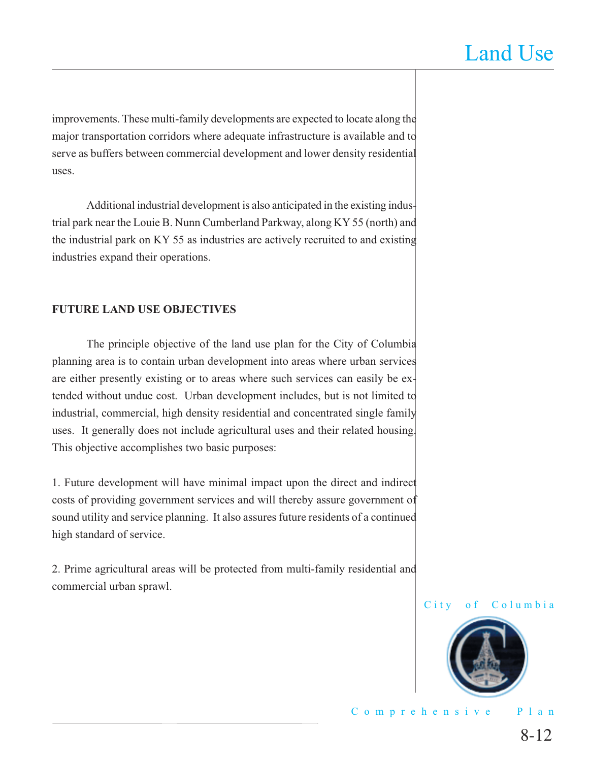improvements. These multi-family developments are expected to locate along the major transportation corridors where adequate infrastructure is available and to serve as buffers between commercial development and lower density residential uses.

 Additional industrial development is also anticipated in the existing industrial park near the Louie B. Nunn Cumberland Parkway, along KY 55 (north) and the industrial park on KY 55 as industries are actively recruited to and existing industries expand their operations.

#### **FUTURE LAND USE OBJECTIVES**

 The principle objective of the land use plan for the City of Columbia planning area is to contain urban development into areas where urban services are either presently existing or to areas where such services can easily be extended without undue cost. Urban development includes, but is not limited to industrial, commercial, high density residential and concentrated single family uses. It generally does not include agricultural uses and their related housing. This objective accomplishes two basic purposes:

1. Future development will have minimal impact upon the direct and indirect costs of providing government services and will thereby assure government of sound utility and service planning. It also assures future residents of a continued high standard of service.

2. Prime agricultural areas will be protected from multi-family residential and commercial urban sprawl.

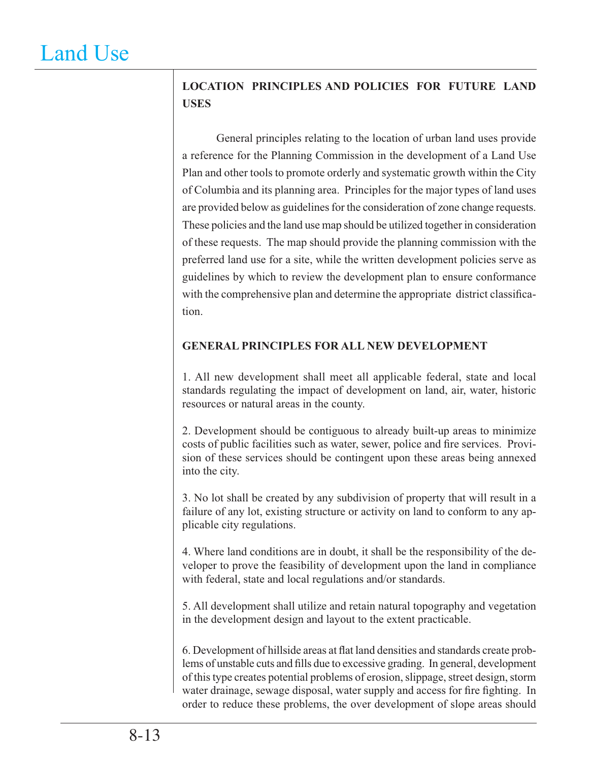# **LOCATION PRINCIPLES AND POLICIES FOR FUTURE LAND USES**

 General principles relating to the location of urban land uses provide a reference for the Planning Commission in the development of a Land Use Plan and other tools to promote orderly and systematic growth within the City of Columbia and its planning area. Principles for the major types of land uses are provided below as guidelines for the consideration of zone change requests. These policies and the land use map should be utilized together in consideration of these requests. The map should provide the planning commission with the preferred land use for a site, while the written development policies serve as guidelines by which to review the development plan to ensure conformance with the comprehensive plan and determine the appropriate district classification.

## **GENERAL PRINCIPLES FOR ALL NEW DEVELOPMENT**

1. All new development shall meet all applicable federal, state and local standards regulating the impact of development on land, air, water, historic resources or natural areas in the county.

2. Development should be contiguous to already built-up areas to minimize costs of public facilities such as water, sewer, police and fire services. Provision of these services should be contingent upon these areas being annexed into the city.

3. No lot shall be created by any subdivision of property that will result in a failure of any lot, existing structure or activity on land to conform to any applicable city regulations.

4. Where land conditions are in doubt, it shall be the responsibility of the developer to prove the feasibility of development upon the land in compliance with federal, state and local regulations and/or standards.

5. All development shall utilize and retain natural topography and vegetation in the development design and layout to the extent practicable.

6. Development of hillside areas at flat land densities and standards create problems of unstable cuts and fills due to excessive grading. In general, development of this type creates potential problems of erosion, slippage, street design, storm water drainage, sewage disposal, water supply and access for fire fighting. In order to reduce these problems, the over development of slope areas should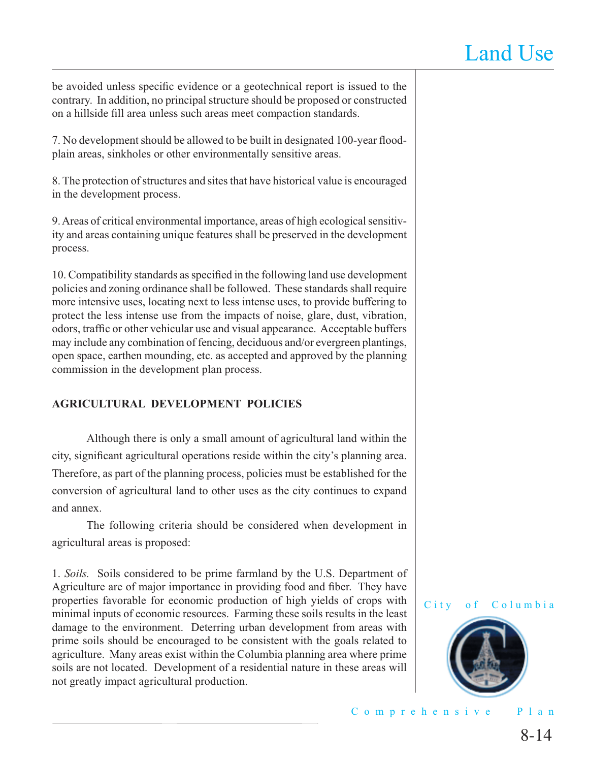be avoided unless specific evidence or a geotechnical report is issued to the contrary. In addition, no principal structure should be proposed or constructed on a hillside fill area unless such areas meet compaction standards.

7. No development should be allowed to be built in designated 100-year floodplain areas, sinkholes or other environmentally sensitive areas.

8. The protection of structures and sites that have historical value is encouraged in the development process.

9. Areas of critical environmental importance, areas of high ecological sensitivity and areas containing unique features shall be preserved in the development process.

10. Compatibility standards as specified in the following land use development policies and zoning ordinance shall be followed. These standards shall require more intensive uses, locating next to less intense uses, to provide buffering to protect the less intense use from the impacts of noise, glare, dust, vibration, odors, traffic or other vehicular use and visual appearance. Acceptable buffers may include any combination of fencing, deciduous and/or evergreen plantings, open space, earthen mounding, etc. as accepted and approved by the planning commission in the development plan process.

### **AGRICULTURAL DEVELOPMENT POLICIES**

 Although there is only a small amount of agricultural land within the city, significant agricultural operations reside within the city's planning area. Therefore, as part of the planning process, policies must be established for the conversion of agricultural land to other uses as the city continues to expand and annex.

 The following criteria should be considered when development in agricultural areas is proposed:

1. *Soils.* Soils considered to be prime farmland by the U.S. Department of Agriculture are of major importance in providing food and fiber. They have properties favorable for economic production of high yields of crops with minimal inputs of economic resources. Farming these soils results in the least damage to the environment. Deterring urban development from areas with prime soils should be encouraged to be consistent with the goals related to agriculture. Many areas exist within the Columbia planning area where prime soils are not located. Development of a residential nature in these areas will not greatly impact agricultural production.



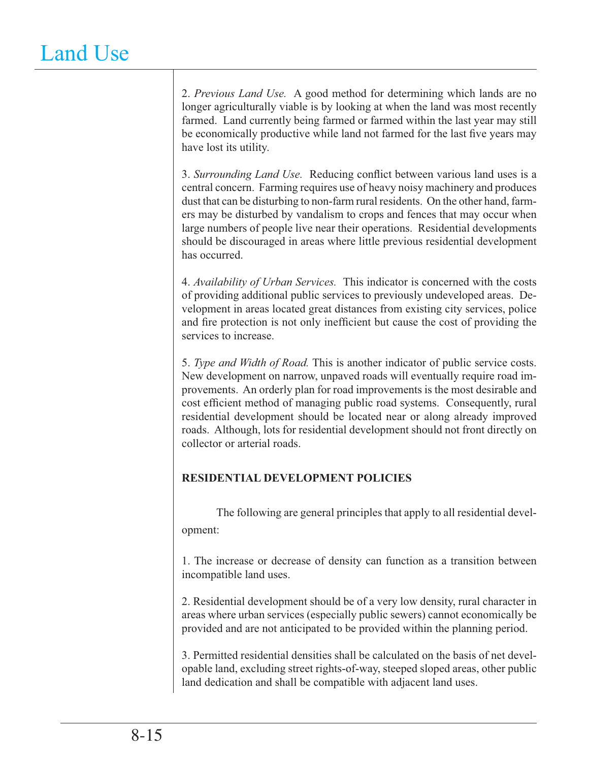2. *Previous Land Use.* A good method for determining which lands are no longer agriculturally viable is by looking at when the land was most recently farmed. Land currently being farmed or farmed within the last year may still be economically productive while land not farmed for the last five years may have lost its utility.

3. Surrounding Land Use. Reducing conflict between various land uses is a central concern. Farming requires use of heavy noisy machinery and produces dust that can be disturbing to non-farm rural residents. On the other hand, farmers may be disturbed by vandalism to crops and fences that may occur when large numbers of people live near their operations. Residential developments should be discouraged in areas where little previous residential development has occurred.

4. *Availability of Urban Services.* This indicator is concerned with the costs of providing additional public services to previously undeveloped areas. Development in areas located great distances from existing city services, police and fire protection is not only inefficient but cause the cost of providing the services to increase.

5. *Type and Width of Road.* This is another indicator of public service costs. New development on narrow, unpaved roads will eventually require road improvements. An orderly plan for road improvements is the most desirable and cost efficient method of managing public road systems. Consequently, rural residential development should be located near or along already improved roads. Although, lots for residential development should not front directly on collector or arterial roads.

## **RESIDENTIAL DEVELOPMENT POLICIES**

 The following are general principles that apply to all residential development:

1. The increase or decrease of density can function as a transition between incompatible land uses.

2. Residential development should be of a very low density, rural character in areas where urban services (especially public sewers) cannot economically be provided and are not anticipated to be provided within the planning period.

3. Permitted residential densities shall be calculated on the basis of net developable land, excluding street rights-of-way, steeped sloped areas, other public land dedication and shall be compatible with adjacent land uses.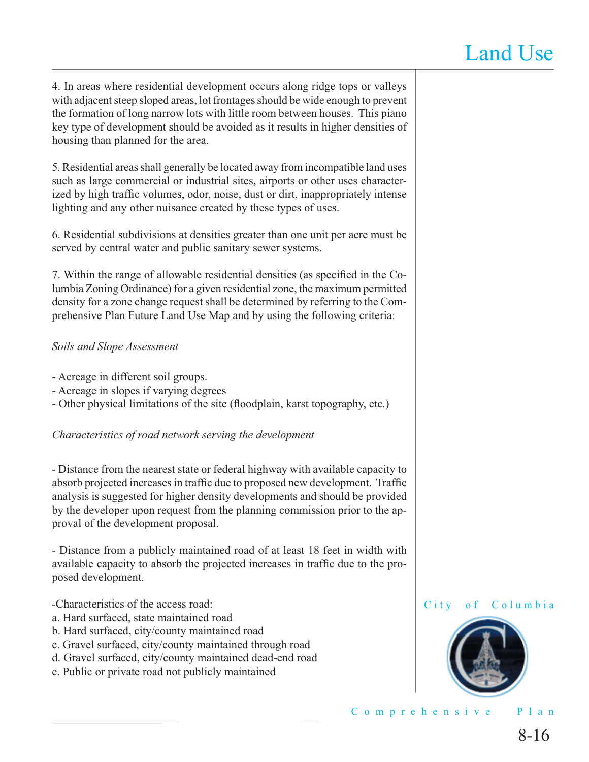4. In areas where residential development occurs along ridge tops or valleys with adjacent steep sloped areas, lot frontages should be wide enough to prevent the formation of long narrow lots with little room between houses. This piano key type of development should be avoided as it results in higher densities of housing than planned for the area.

5. Residential areas shall generally be located away from incompatible land uses such as large commercial or industrial sites, airports or other uses characterized by high traffic volumes, odor, noise, dust or dirt, inappropriately intense lighting and any other nuisance created by these types of uses.

6. Residential subdivisions at densities greater than one unit per acre must be served by central water and public sanitary sewer systems.

7. Within the range of allowable residential densities (as specified in the Columbia Zoning Ordinance) for a given residential zone, the maximum permitted density for a zone change request shall be determined by referring to the Comprehensive Plan Future Land Use Map and by using the following criteria:

#### *Soils and Slope Assessment*

- Acreage in different soil groups.
- Acreage in slopes if varying degrees
- Other physical limitations of the site (floodplain, karst topography, etc.)

### *Characteristics of road network serving the development*

- Distance from the nearest state or federal highway with available capacity to absorb projected increases in traffic due to proposed new development. Traffic analysis is suggested for higher density developments and should be provided by the developer upon request from the planning commission prior to the approval of the development proposal.

- Distance from a publicly maintained road of at least 18 feet in width with available capacity to absorb the projected increases in traffic due to the proposed development.

-Characteristics of the access road:

- a. Hard surfaced, state maintained road
- b. Hard surfaced, city/county maintained road
- c. Gravel surfaced, city/county maintained through road
- d. Gravel surfaced, city/county maintained dead-end road
- e. Public or private road not publicly maintained



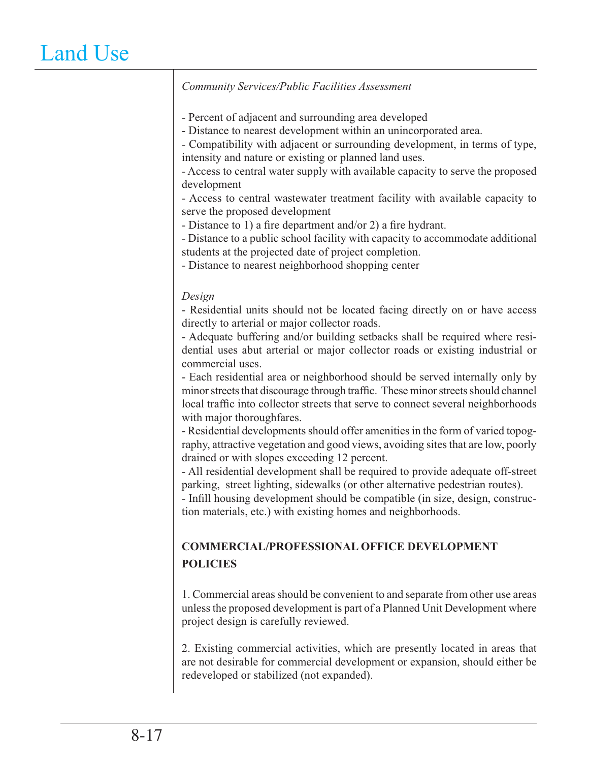#### *Community Services/Public Facilities Assessment*

- Percent of adjacent and surrounding area developed

- Distance to nearest development within an unincorporated area.

- Compatibility with adjacent or surrounding development, in terms of type, intensity and nature or existing or planned land uses.

- Access to central water supply with available capacity to serve the proposed development

- Access to central wastewater treatment facility with available capacity to serve the proposed development

- Distance to 1) a fire department and/or 2) a fire hydrant.

- Distance to a public school facility with capacity to accommodate additional students at the projected date of project completion.

- Distance to nearest neighborhood shopping center

#### *Design*

- Residential units should not be located facing directly on or have access directly to arterial or major collector roads.

- Adequate buffering and/or building setbacks shall be required where residential uses abut arterial or major collector roads or existing industrial or commercial uses.

- Each residential area or neighborhood should be served internally only by minor streets that discourage through traffic. These minor streets should channel local traffic into collector streets that serve to connect several neighborhoods with major thoroughfares.

- Residential developments should offer amenities in the form of varied topography, attractive vegetation and good views, avoiding sites that are low, poorly drained or with slopes exceeding 12 percent.

- All residential development shall be required to provide adequate off-street parking, street lighting, sidewalks (or other alternative pedestrian routes).

- Infill housing development should be compatible (in size, design, construction materials, etc.) with existing homes and neighborhoods.

## **COMMERCIAL/PROFESSIONAL OFFICE DEVELOPMENT POLICIES**

1. Commercial areas should be convenient to and separate from other use areas unless the proposed development is part of a Planned Unit Development where project design is carefully reviewed.

2. Existing commercial activities, which are presently located in areas that are not desirable for commercial development or expansion, should either be redeveloped or stabilized (not expanded).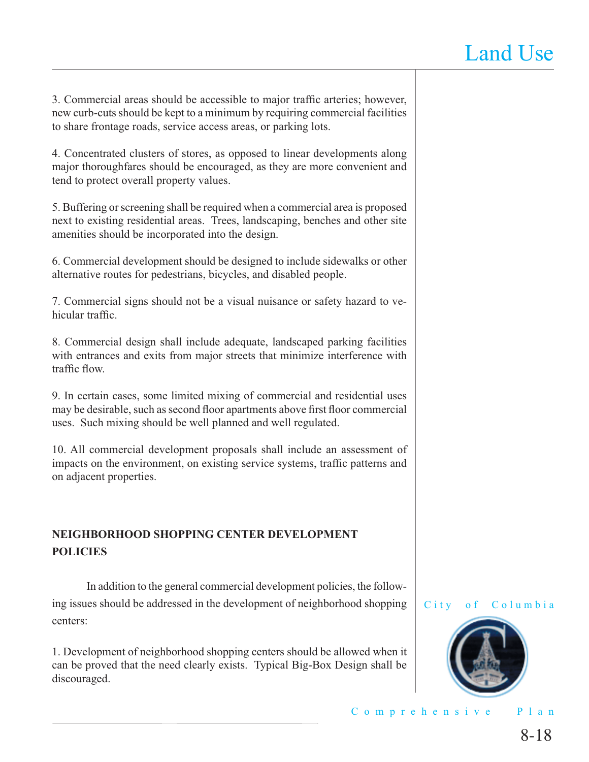3. Commercial areas should be accessible to major traffic arteries; however, new curb-cuts should be kept to a minimum by requiring commercial facilities to share frontage roads, service access areas, or parking lots.

4. Concentrated clusters of stores, as opposed to linear developments along major thoroughfares should be encouraged, as they are more convenient and tend to protect overall property values.

5. Buffering or screening shall be required when a commercial area is proposed next to existing residential areas. Trees, landscaping, benches and other site amenities should be incorporated into the design.

6. Commercial development should be designed to include sidewalks or other alternative routes for pedestrians, bicycles, and disabled people.

7. Commercial signs should not be a visual nuisance or safety hazard to vehicular traffic.

8. Commercial design shall include adequate, landscaped parking facilities with entrances and exits from major streets that minimize interference with traffic flow

9. In certain cases, some limited mixing of commercial and residential uses may be desirable, such as second floor apartments above first floor commercial uses. Such mixing should be well planned and well regulated.

10. All commercial development proposals shall include an assessment of impacts on the environment, on existing service systems, traffic patterns and on adjacent properties.

## **NEIGHBORHOOD SHOPPING CENTER DEVELOPMENT POLICIES**

 In addition to the general commercial development policies, the following issues should be addressed in the development of neighborhood shopping centers:

1. Development of neighborhood shopping centers should be allowed when it can be proved that the need clearly exists. Typical Big-Box Design shall be discouraged.



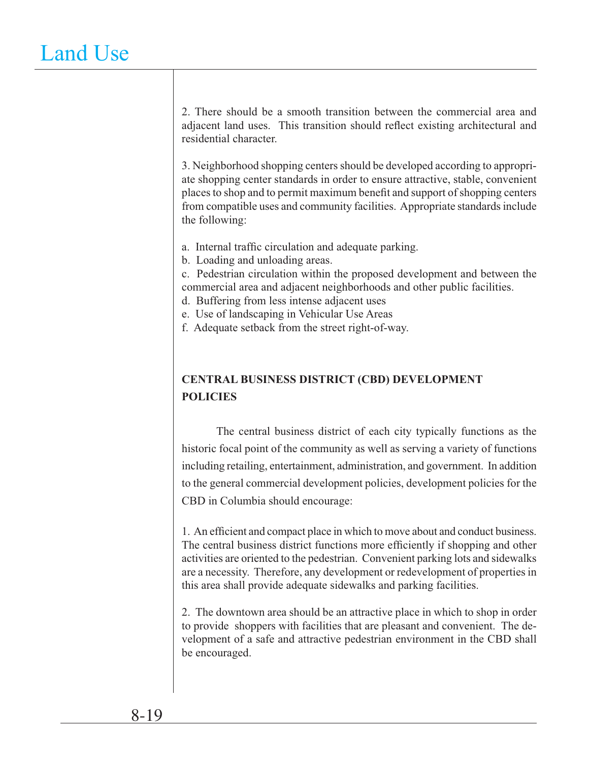2. There should be a smooth transition between the commercial area and adjacent land uses. This transition should reflect existing architectural and residential character.

3. Neighborhood shopping centers should be developed according to appropriate shopping center standards in order to ensure attractive, stable, convenient places to shop and to permit maximum benefi t and support of shopping centers from compatible uses and community facilities. Appropriate standards include the following:

a. Internal traffic circulation and adequate parking.

b. Loading and unloading areas.

c. Pedestrian circulation within the proposed development and between the commercial area and adjacent neighborhoods and other public facilities.

d. Buffering from less intense adjacent uses

- e. Use of landscaping in Vehicular Use Areas
- f. Adequate setback from the street right-of-way.

## **CENTRAL BUSINESS DISTRICT (CBD) DEVELOPMENT POLICIES**

 The central business district of each city typically functions as the historic focal point of the community as well as serving a variety of functions including retailing, entertainment, administration, and government. In addition to the general commercial development policies, development policies for the CBD in Columbia should encourage:

1. An efficient and compact place in which to move about and conduct business. The central business district functions more efficiently if shopping and other activities are oriented to the pedestrian. Convenient parking lots and sidewalks are a necessity. Therefore, any development or redevelopment of properties in this area shall provide adequate sidewalks and parking facilities.

2. The downtown area should be an attractive place in which to shop in order to provide shoppers with facilities that are pleasant and convenient. The development of a safe and attractive pedestrian environment in the CBD shall be encouraged.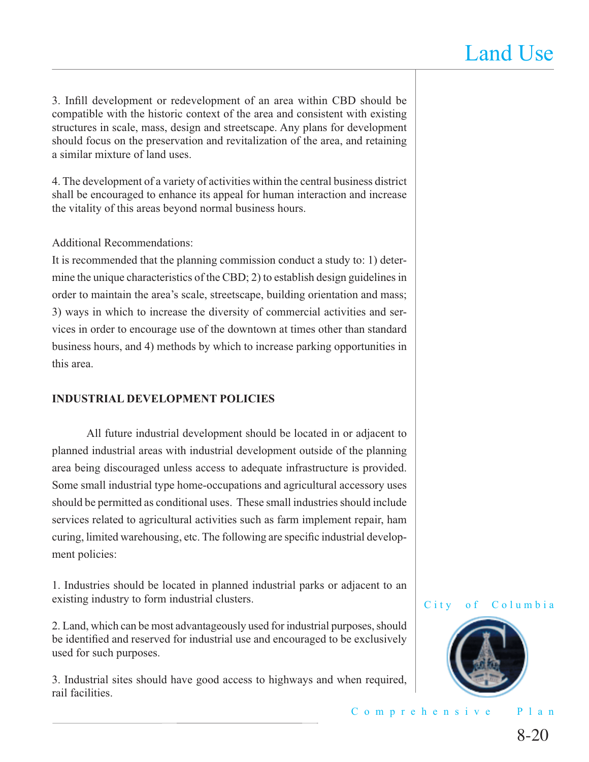3. Infill development or redevelopment of an area within CBD should be compatible with the historic context of the area and consistent with existing structures in scale, mass, design and streetscape. Any plans for development should focus on the preservation and revitalization of the area, and retaining a similar mixture of land uses.

4. The development of a variety of activities within the central business district shall be encouraged to enhance its appeal for human interaction and increase the vitality of this areas beyond normal business hours.

#### Additional Recommendations:

It is recommended that the planning commission conduct a study to: 1) determine the unique characteristics of the CBD; 2) to establish design guidelines in order to maintain the area's scale, streetscape, building orientation and mass; 3) ways in which to increase the diversity of commercial activities and services in order to encourage use of the downtown at times other than standard business hours, and 4) methods by which to increase parking opportunities in this area.

#### **INDUSTRIAL DEVELOPMENT POLICIES**

 All future industrial development should be located in or adjacent to planned industrial areas with industrial development outside of the planning area being discouraged unless access to adequate infrastructure is provided. Some small industrial type home-occupations and agricultural accessory uses should be permitted as conditional uses. These small industries should include services related to agricultural activities such as farm implement repair, ham curing, limited warehousing, etc. The following are specific industrial development policies:

1. Industries should be located in planned industrial parks or adjacent to an existing industry to form industrial clusters.

2. Land, which can be most advantageously used for industrial purposes, should be identified and reserved for industrial use and encouraged to be exclusively used for such purposes.

3. Industrial sites should have good access to highways and when required, rail facilities.

#### City of Columbia

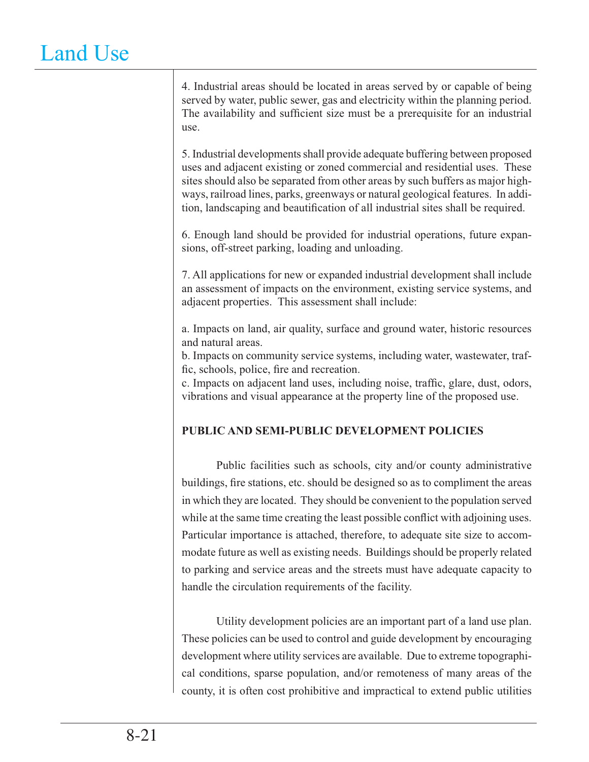4. Industrial areas should be located in areas served by or capable of being served by water, public sewer, gas and electricity within the planning period. The availability and sufficient size must be a prerequisite for an industrial use.

5. Industrial developments shall provide adequate buffering between proposed uses and adjacent existing or zoned commercial and residential uses. These sites should also be separated from other areas by such buffers as major highways, railroad lines, parks, greenways or natural geological features. In addition, landscaping and beautification of all industrial sites shall be required.

6. Enough land should be provided for industrial operations, future expansions, off-street parking, loading and unloading.

7. All applications for new or expanded industrial development shall include an assessment of impacts on the environment, existing service systems, and adjacent properties. This assessment shall include:

a. Impacts on land, air quality, surface and ground water, historic resources and natural areas.

b. Impacts on community service systems, including water, wastewater, traffic, schools, police, fire and recreation.

c. Impacts on adjacent land uses, including noise, traffic, glare, dust, odors, vibrations and visual appearance at the property line of the proposed use.

## **PUBLIC AND SEMI-PUBLIC DEVELOPMENT POLICIES**

 Public facilities such as schools, city and/or county administrative buildings, fire stations, etc. should be designed so as to compliment the areas in which they are located. They should be convenient to the population served while at the same time creating the least possible conflict with adjoining uses. Particular importance is attached, therefore, to adequate site size to accommodate future as well as existing needs. Buildings should be properly related to parking and service areas and the streets must have adequate capacity to handle the circulation requirements of the facility.

 Utility development policies are an important part of a land use plan. These policies can be used to control and guide development by encouraging development where utility services are available. Due to extreme topographical conditions, sparse population, and/or remoteness of many areas of the county, it is often cost prohibitive and impractical to extend public utilities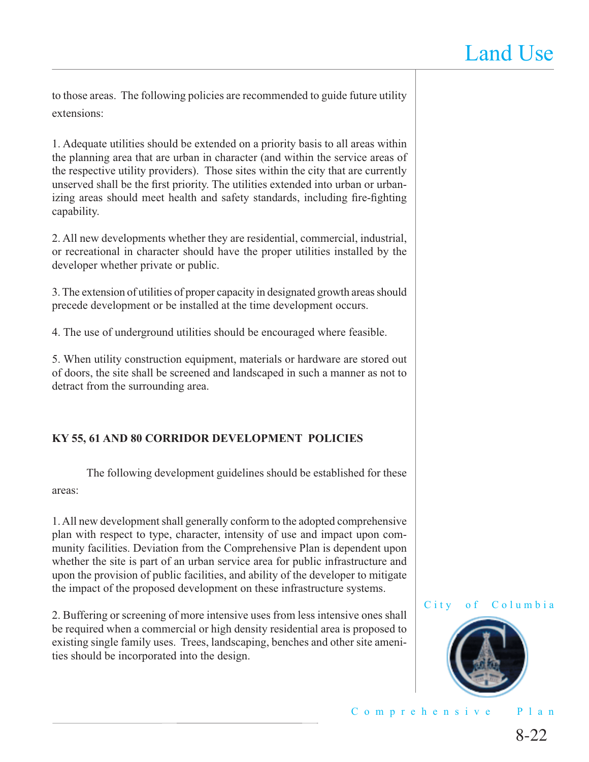to those areas. The following policies are recommended to guide future utility extensions:

1. Adequate utilities should be extended on a priority basis to all areas within the planning area that are urban in character (and within the service areas of the respective utility providers). Those sites within the city that are currently unserved shall be the first priority. The utilities extended into urban or urbanizing areas should meet health and safety standards, including fire-fighting capability.

2. All new developments whether they are residential, commercial, industrial, or recreational in character should have the proper utilities installed by the developer whether private or public.

3. The extension of utilities of proper capacity in designated growth areas should precede development or be installed at the time development occurs.

4. The use of underground utilities should be encouraged where feasible.

5. When utility construction equipment, materials or hardware are stored out of doors, the site shall be screened and landscaped in such a manner as not to detract from the surrounding area.

## **KY 55, 61 AND 80 CORRIDOR DEVELOPMENT POLICIES**

 The following development guidelines should be established for these areas:

1. All new development shall generally conform to the adopted comprehensive plan with respect to type, character, intensity of use and impact upon community facilities. Deviation from the Comprehensive Plan is dependent upon whether the site is part of an urban service area for public infrastructure and upon the provision of public facilities, and ability of the developer to mitigate the impact of the proposed development on these infrastructure systems.

2. Buffering or screening of more intensive uses from less intensive ones shall be required when a commercial or high density residential area is proposed to existing single family uses. Trees, landscaping, benches and other site amenities should be incorporated into the design.



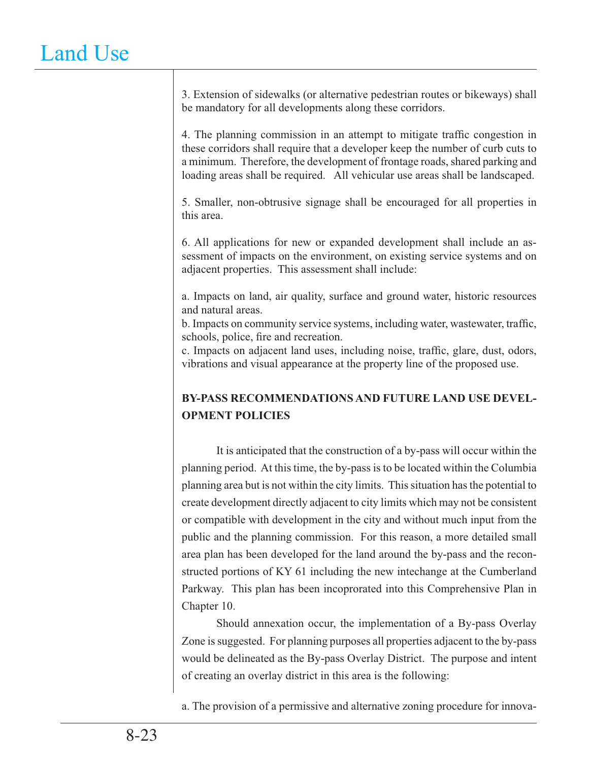3. Extension of sidewalks (or alternative pedestrian routes or bikeways) shall be mandatory for all developments along these corridors.

4. The planning commission in an attempt to mitigate traffic congestion in these corridors shall require that a developer keep the number of curb cuts to a minimum. Therefore, the development of frontage roads, shared parking and loading areas shall be required. All vehicular use areas shall be landscaped.

5. Smaller, non-obtrusive signage shall be encouraged for all properties in this area.

6. All applications for new or expanded development shall include an assessment of impacts on the environment, on existing service systems and on adjacent properties. This assessment shall include:

a. Impacts on land, air quality, surface and ground water, historic resources and natural areas.

b. Impacts on community service systems, including water, wastewater, traffic, schools, police, fire and recreation.

c. Impacts on adjacent land uses, including noise, traffic, glare, dust, odors, vibrations and visual appearance at the property line of the proposed use.

# **BY-PASS RECOMMENDATIONS AND FUTURE LAND USE DEVEL-OPMENT POLICIES**

 It is anticipated that the construction of a by-pass will occur within the planning period. At this time, the by-pass is to be located within the Columbia planning area but is not within the city limits. This situation has the potential to create development directly adjacent to city limits which may not be consistent or compatible with development in the city and without much input from the public and the planning commission. For this reason, a more detailed small area plan has been developed for the land around the by-pass and the reconstructed portions of KY 61 including the new intechange at the Cumberland Parkway. This plan has been incoprorated into this Comprehensive Plan in Chapter 10.

 Should annexation occur, the implementation of a By-pass Overlay Zone is suggested. For planning purposes all properties adjacent to the by-pass would be delineated as the By-pass Overlay District. The purpose and intent of creating an overlay district in this area is the following:

a. The provision of a permissive and alternative zoning procedure for innova-